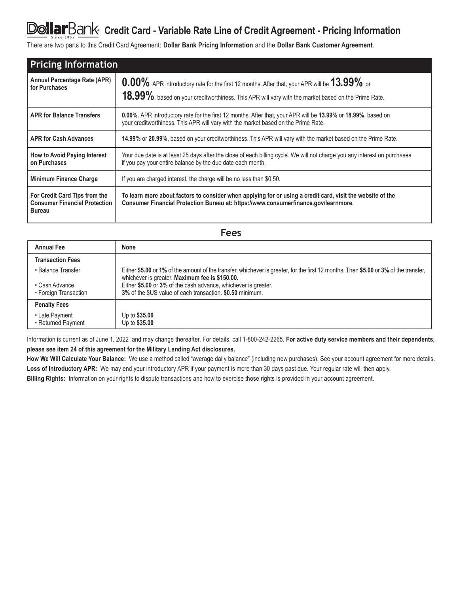# DollarBank Credit Card - Variable Rate Line of Credit Agreement - Pricing Information

There are two parts to this Credit Card Agreement: **Dollar Bank Pricing Information** and the **Dollar Bank Customer Agreement**.

| <b>Pricing Information</b>                                                             |                                                                                                                                                                                                     |  |  |
|----------------------------------------------------------------------------------------|-----------------------------------------------------------------------------------------------------------------------------------------------------------------------------------------------------|--|--|
| <b>Annual Percentage Rate (APR)</b><br>for Purchases                                   | 0.00% APR introductory rate for the first 12 months. After that, your APR will be 13.99% or<br>18.99%, based on your creditworthiness. This APR will vary with the market based on the Prime Rate.  |  |  |
| <b>APR for Balance Transfers</b>                                                       | 0.00%. APR introductory rate for the first 12 months. After that, your APR will be 13.99% or 18.99%, based on<br>your creditworthiness. This APR will vary with the market based on the Prime Rate. |  |  |
| <b>APR for Cash Advances</b>                                                           | 14.99% or 20.99%, based on your creditworthiness. This APR will vary with the market based on the Prime Rate.                                                                                       |  |  |
| How to Avoid Paying Interest<br>on Purchases                                           | Your due date is at least 25 days after the close of each billing cycle. We will not charge you any interest on purchases<br>if you pay your entire balance by the due date each month.             |  |  |
| <b>Minimum Finance Charge</b>                                                          | If you are charged interest, the charge will be no less than \$0.50.                                                                                                                                |  |  |
| For Credit Card Tips from the<br><b>Consumer Financial Protection</b><br><b>Bureau</b> | To learn more about factors to consider when applying for or using a credit card, visit the website of the<br>Consumer Financial Protection Bureau at: https://www.consumerfinance.gov/learnmore.   |  |  |

| ×<br>×<br>×<br>۰.<br>٠ |
|------------------------|
|------------------------|

| <b>Annual Fee</b>       | <b>None</b>                                                                                                                                                                            |
|-------------------------|----------------------------------------------------------------------------------------------------------------------------------------------------------------------------------------|
| <b>Transaction Fees</b> |                                                                                                                                                                                        |
| • Balance Transfer      | Either \$5.00 or 1% of the amount of the transfer, whichever is greater, for the first 12 months. Then \$5.00 or 3% of the transfer,<br>whichever is greater. Maximum fee is \$150.00. |
| • Cash Advance          | Either \$5.00 or 3% of the cash advance, whichever is greater.                                                                                                                         |
| • Foreign Transaction   | 3% of the \$US value of each transaction. \$0.50 minimum.                                                                                                                              |
| <b>Penalty Fees</b>     |                                                                                                                                                                                        |
| • Late Payment          | Up to \$35.00                                                                                                                                                                          |
| • Returned Payment      | Up to \$35.00                                                                                                                                                                          |

Information is current as of June 1, 2022 and may change thereafter. For details, call 1-800-242-2265. **For active duty service members and their dependents, please see item 24 of this agreement for the Military Lending Act disclosures.**

**How We Will Calculate Your Balance:** We use a method called "average daily balance" (including new purchases). See your account agreement for more details. **Loss of Introductory APR:** We may end your introductory APR if your payment is more than 30 days past due. Your regular rate will then apply.

**Billing Rights:** Information on your rights to dispute transactions and how to exercise those rights is provided in your account agreement.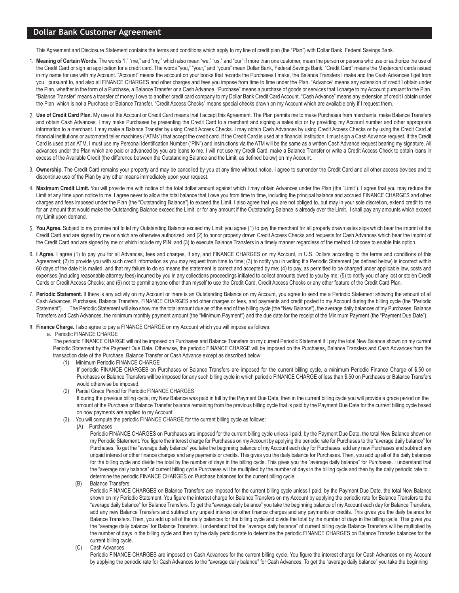# **Dollar Bank Customer Agreement**

This Agreement and Disclosure Statement contains the terms and conditions which apply to my line of credit plan (the "Plan") with Dollar Bank, Federal Savings Bank.

- 1. Meaning of Certain Words. The words "I," "me," and "my," which also mean "we," "us," and "our" if more than one customer, mean the person or persons who use or authorize the use of the Credit Card or sign an application for a credit card. The words "you," "your," and "yours" mean Dollar Bank, Federal Savings Bank. "Credit Card" means the Mastercard cards issued in my name for use with my Account. "Account" means the account on your books that records the Purchases I make, the Balance Transfers I make and the Cash Advances I get from you pursuant to, and also all FINANCE CHARGES and other charges and fees you impose from time to time under the Plan. "Advance" means any extension of credit I obtain under the Plan, whether in the form of a Purchase, a Balance Transfer or a Cash Advance. "Purchase" means a purchase of goods or services that I charge to my Account pursuant to the Plan. "Balance Transfer" means a transfer of money I owe to another credit card company to my Dollar Bank Credit Card Account. "Cash Advance" means any extension of credit I obtain under the Plan which is not a Purchase or Balance Transfer. "Credit Access Checks" means special checks drawn on my Account which are available only if I request them.
- **Use of Credit Card Plan.** My use of the Account or Credit Card means that I accept this Agreement. The Plan permits me to make Purchases from merchants, make Balance Transfers 2. and obtain Cash Advances. I may make Purchases by presenting the Credit Card to a merchant and signing a sales slip or by providing my Account number and other appropriate information to a merchant. I may make a Balance Transfer by using Credit Access Checks. I may obtain Cash Advances by using Credit Access Checks or by using the Credit Card at financial institutions or automated teller machines ("ATMs") that accept the credit card. If the Credit Card is used at a financial institution, I must sign a Cash Advance request. If the Credit Card is used at an ATM, I must use my Personal Identification Number ("PIN") and instructions via the ATM will be the same as a written Cash Advance request bearing my signature. All advances under the Plan which are paid or advanced by you are loans to me. I will not use my Credit Card, make a Balance Transfer or write a Credit Access Check to obtain loans in excess of the Available Credit (the difference between the Outstanding Balance and the Limit, as defined below) on my Account.
- 3. Ownership. The Credit Card remains your property and may be cancelled by you at any time without notice. I agree to surrender the Credit Card and all other access devices and to discontinue use of the Plan by any other means immediately upon your request.
- 4. Maximum Credit Limit. You will provide me with notice of the total dollar amount against which I may obtain Advances under the Plan (the "Limit"). I agree that you may reduce the Limit at any time upon notice to me. I agree never to allow the total balance that I owe you from time to time, including the principal balance and accrued FINANCE CHARGES and other charges and fees imposed under the Plan (the "Outstanding Balance") to exceed the Limit. I also agree that you are not obliged to, but may in your sole discretion, extend credit to me for an amount that would make the Outstanding Balance exceed the Limit, or for any amount if the Outstanding Balance is already over the Limit. I shall pay any amounts which exceed my Limit upon demand.
- 5. You Agree. Subject to my promise not to let my Outstanding Balance exceed my Limit: you agree (1) to pay the merchant for all properly drawn sales slips which bear the imprint of the Credit Card and are signed by me or which are otherwise authorized; and (2) to honor properly drawn Credit Access Checks and requests for Cash Advances which bear the imprint of the Credit Card and are signed by me or which include my PIN; and (3) to execute Balance Transfers in a timely manner regardless of the method I choose to enable this option.
- 6. I Agree. I agree (1) to pay you for all Advances, fees and charges, if any, and FINANCE CHARGES on my Account, in U.S. Dollars according to the terms and conditions of this Agreement; (2) to provide you with such credit information as you may request from time to time; (3) to notify you in writing if a Periodic Statement (as defined below) is incorrect within 60 days of the date it is mailed, and that my failure to do so means the statement is correct and accepted by me; (4) to pay, as permitted to be charged under applicable law, costs and expenses (including reasonable attorney fees) incurred by you in any collections proceedings initiated to collect amounts owed to you by me; (5) to notify you of any lost or stolen Credit Cards or Credit Access Checks; and (6) not to permit anyone other than myself to use the Credit Card, Credit Access Checks or any other feature of the Credit Card Plan.
- 7. Periodic Statement. If there is any activity on my Account or there is an Outstanding Balance on my Account, you agree to send me a Periodic Statement showing the amount of all Cash Advances, Purchases, Balance Transfers, FINANCE CHARGES and other charges or fees, and payments and credit posted to my Account during the billing cycle (the "Periodic Statement"). The Periodic Statement will also show me the total amount due as of the end of the billing cycle (the "New Balance"), the average daily balances of my Purchases, Balance Transfers and Cash Advances, the minimum monthly payment amount (the "Minimum Payment") and the due date for the receipt of the Minimum Payment (the "Payment Due Date").
- **Finance Charge.** I also agree to pay a FINANCE CHARGE on my Account which you will impose as follows: 8.

#### a. Periodic FINANCE CHARGE

 The periodic FINANCE CHARGE will not be imposed on Purchases and Balance Transfers on my current Periodic Statement if I pay the total New Balance shown on my current Periodic Statement by the Payment Due Date. Otherwise, the periodic FINANCE CHARGE will be imposed on the Purchases, Balance Transfers and Cash Advances from the transaction date of the Purchase, Balance Transfer or Cash Advance except as described below:

(1) Minimum Periodic FINANCE CHARGE

If periodic FINANCE CHARGES on Purchases or Balance Transfers are imposed for the current billing cycle, a minimum Periodic Finance Charge of \$.50 on Purchases or Balance Transfers will be imposed for any such billing cycle in which periodic FINANCE CHARGE of less than \$.50 on Purchases or Balance Transfers would otherwise be imposed.

Partial Grace Period for Periodic FINANCE CHARGES

 If during the previous billing cycle, my New Balance was paid in full by the Payment Due Date, then in the current billing cycle you will provide a grace period on the amount of the Purchase or Balance Transfer balance remaining from the previous billing cycle that is paid by the Payment Due Date for the current billing cycle based on how payments are applied to my Account.

- (3) You will compute the periodic FINANCE CHARGE for the current billing cycle as follows:
	- (A) Purchases

Periodic FINANCE CHARGES on Purchases are imposed for the current billing cycle unless I paid, by the Payment Due Date, the total New Balance shown on my Periodic Statement. You figure the interest charge for Purchases on my Account by applying the periodic rate for Purchases to the "average daily balance" for Purchases. To get the "average daily balance" you take the beginning balance of my Account each day for Purchases, add any new Purchases and subtract any unpaid interest or other finance charges and any payments or credits. This gives you the daily balance for Purchases. Then, you add up all of the daily balances for the billing cycle and divide the total by the number of days in the billing cycle. This gives you the "average daily balance" for Purchases. I understand that the "average daily balance" of current billing cycle Purchases will be multiplied by the number of days in the billing cycle and then by the daily periodic rate to determine the periodic FINANCE CHARGES on Purchase balances for the current billing cycle.

(B) Balance Transfers

Periodic FINANCE CHARGES on Balance Transfers are imposed for the current billing cycle unless I paid, by the Payment Due Date, the total New Balance shown on my Periodic Statement. You figure the interest charge for Balance Transfers on my Account by applying the periodic rate for Balance Transfers to the "average daily balance" for Balance Transfers. To get the "average daily balance" you take the beginning balance of my Account each day for Balance Transfers, add any new Balance Transfers and subtract any unpaid interest or other finance charges and any payments or credits. This gives you the daily balance for Balance Transfers. Then, you add up all of the daily balances for the billing cycle and divide the total by the number of days in the billing cycle. This gives you the "average daily balance" for Balance Transfers. I understand that the "average daily balance" of current billing cycle Balance Transfers will be multiplied by the number of days in the billing cycle and then by the daily periodic rate to determine the periodic FINANCE CHARGES on Balance Transfer balances for the current billing cycle.

#### (C) Cash Advances

Periodic FINANCE CHARGES are imposed on Cash Advances for the current billing cycle. You figure the interest charge for Cash Advances on my Account by applying the periodic rate for Cash Advances to the "average daily balance" for Cash Advances. To get the "average daily balance" you take the beginning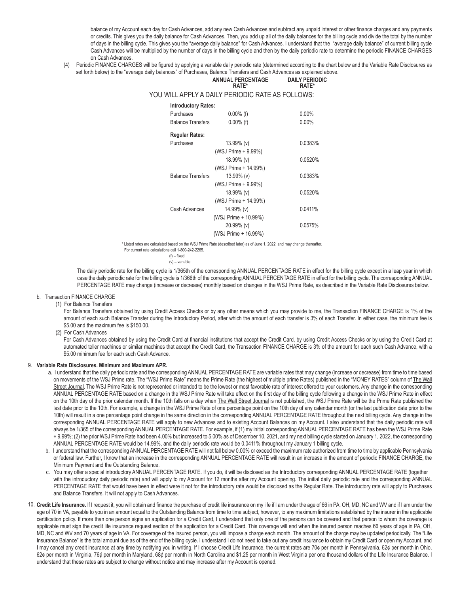balance of my Account each day for Cash Advances, add any new Cash Advances and subtract any unpaid interest or other finance charges and any payments or credits. This gives you the daily balance for Cash Advances. Then, you add up all of the daily balances for the billing cycle and divide the total by the number of days in the billing cycle. This gives you the "average daily balance" for Cash Advances. I understand that the "average daily balance" of current billing cycle Cash Advances will be multiplied by the number of days in the billing cycle and then by the daily periodic rate to determine the periodic FINANCE CHARGES on Cash Advances.

(4) Periodic FINANCE CHARGES will be figured by applying a variable daily periodic rate (determined according to the chart below and the Variable Rate Disclosures as set forth below) to the "average daily balances" of Purchases, Balance Transfers and Cash Advances as explained above. **ANNUAL PERCENTAGE**

|                          | <b>ANNUAL PERCENTAGE</b><br>RATE*                | <b>DAILY PERIODIC</b><br>RATE* |
|--------------------------|--------------------------------------------------|--------------------------------|
|                          | YOU WILL APPLY A DAILY PERIODIC RATE AS FOLLOWS: |                                |
|                          | <b>Introductory Rates:</b>                       |                                |
| Purchases                | $0.00\%$ (f)                                     | $0.00\%$                       |
| <b>Balance Transfers</b> | $0.00\%$ (f)                                     | $0.00\%$                       |
| <b>Regular Rates:</b>    |                                                  |                                |
| Purchases                | 13.99% (v)                                       | 0.0383%                        |
|                          | (WSJ Prime + 9.99%)                              |                                |
|                          | 18.99% (v)                                       | 0.0520%                        |
|                          | (WSJ Prime + 14.99%)                             |                                |
| <b>Balance Transfers</b> | 13.99% (v)                                       | 0.0383%                        |
|                          | (WSJ Prime + 9.99%)                              |                                |
|                          | 18.99% (v)                                       | 0.0520%                        |
|                          | (WSJ Prime + 14.99%)                             |                                |
| Cash Advances            | 14.99% (v)                                       | 0.0411%                        |
|                          | (WSJ Prime + 10.99%)                             |                                |
|                          | $20.99\%$ (v)                                    | 0.0575%                        |
|                          | (WSJ Prime + 16.99%)                             |                                |
|                          |                                                  |                                |

\* Listed rates are calculated based on the WSJ Prime Rate (described later) as of June 1, 2022 and may change thereafter.

 (f) – fixed (v) – variable

The daily periodic rate for the billing cycle is 1/365th of the corresponding ANNUAL PERCENTAGE RATE in effect for the billing cycle except in a leap year in which case the daily periodic rate for the billing cycle is 1/366th of the corresponding ANNUAL PERCENTAGE RATE in effect for the billing cycle. The corresponding ANNUAL PERCENTAGE RATE may change (increase or decrease) monthly based on changes in the WSJ Prime Rate, as described in the Variable Rate Disclosures below.

- b. Transaction FINANCE CHARGE
	- (1) For Balance Transfers For Balance Transfers obtained by using Credit Access Checks or by any other means which you may provide to me, the Transaction FINANCE CHARGE is 1% of the amount of each such Balance Transfer during the Introductory Period, after which the amount of each transfer is 3% of each Transfer. In either case, the minimum fee is \$5.00 and the maximum fee is \$150.00.
		- (2) For Cash Advances

For Cash Advances obtained by using the Credit Card at financial institutions that accept the Credit Card, by using Credit Access Checks or by using the Credit Card at automated teller machines or similar machines that accept the Credit Card, the Transaction FINANCE CHARGE is 3% of the amount for each such Cash Advance, with a \$5.00 minimum fee for each such Cash Advance.

# **Variable Rate Disclosures. Minimum and Maximum APR.** 9.

 a. I understand that the daily periodic rate and the corresponding ANNUAL PERCENTAGE RATE are variable rates that may change (increase or decrease) from time to time based on movements of the WSJ Prime rate. The "WSJ Prime Rate" means the Prime Rate (the highest of multiple prime Rates) published in the "MONEY RATES" column of The Wall Street Journal. The WSJ Prime Rate is not represented or intended to be the lowest or most favorable rate of interest offered to your customers. Any change in the corresponding ANNUAL PERCENTAGE RATE based on a change in the WSJ Prime Rate will take effect on the first day of the billing cycle following a change in the WSJ Prime Rate in effect on the 10th day of the prior calendar month. If the 10th falls on a day when The Wall Street Journal is not published, the WSJ Prime Rate will be the Prime Rate published the last date prior to the 10th. For example, a change in the WSJ Prime Rate of one percentage point on the 10th day of any calendar month (or the last publication date prior to the 10th) will result in a one percentage point change in the same direction in the corresponding ANNUAL PERCENTAGE RATE throughout the next billing cycle. Any change in the corresponding ANNUAL PERCENTAGE RATE will apply to new Advances and to existing Account Balances on my Account. I also understand that the daily periodic rate will always be 1/365 of the corresponding ANNUAL PERCENTAGE RATE. For example, if (1) my initial corresponding ANNUAL PERCENTAGE RATE has been the WSJ Prime Rate + 9.99%; (2) the prior WSJ Prime Rate had been 4.00% but increased to 5.00% as of December 10, 2021, and my next billing cycle started on January 1, 2022, the corresponding ANNUAL PERCENTAGE RATE would be 14.99%, and the daily periodic rate would be 0.0411% throughout my January 1 billing cycle.

- b. I understand that the corresponding ANNUAL PERCENTAGE RATE will not fall below 0.00% or exceed the maximum rate authorized from time to time by applicable Pennsylvania or federal law. Further, I know that an increase in the corresponding ANNUAL PERCENTAGE RATE will result in an increase in the amount of periodic FINANCE CHARGE, the Minimum Payment and the Outstanding Balance.
- c. You may offer a special introductory ANNUAL PERCENTAGE RATE. If you do, it will be disclosed as the Introductory corresponding ANNUAL PERCENTAGE RATE (together with the introductory daily periodic rate) and will apply to my Account for 12 months after my Account opening. The initial daily periodic rate and the corresponding ANNUAL PERCENTAGE RATE that would have been in effect were it not for the introductory rate would be disclosed as the Regular Rate. The introductory rate will apply to Purchases and Balance Transfers. It will not apply to Cash Advances.
- 10. Credit Life Insurance. If I request it, you will obtain and finance the purchase of credit life insurance on my life if I am under the age of 66 in PA, OH, MD, NC and WV and if I am under the age of 70 in VA, payable to you in an amount equal to the Outstanding Balance from time to time subject, however, to any maximum limitations established by the insurer in the applicable certification policy. If more than one person signs an application for a Credit Card, I understand that only one of the persons can be covered and that person to whom the coverage is applicable must sign the credit life insurance request section of the application for a Credit Card. This coverage will end when the insured person reaches 66 years of age in PA, OH, MD, NC and WV and 70 years of age in VA. For coverage of the insured person, you will impose a charge each month. The amount of the charge may be updated periodically. The "Life Insurance Balance" is the total amount due as of the end of the billing cycle. I understand I do not need to take out any credit insurance to obtain my Credit Card or open my Account, and I may cancel any credit insurance at any time by notifying you in writing. If I choose Credit Life Insurance, the current rates are 70¢ per month in Pennsylvania, 62¢ per month in Ohio, 62¢ per month in Virginia, 76¢ per month in Maryland, 68¢ per month in North Carolina and \$1.25 per month in West Virginia per one thousand dollars of the Life Insurance Balance. I understand that these rates are subject to change without notice and may increase after my Account is opened.

For current rate calculations call 1-800-242-2265.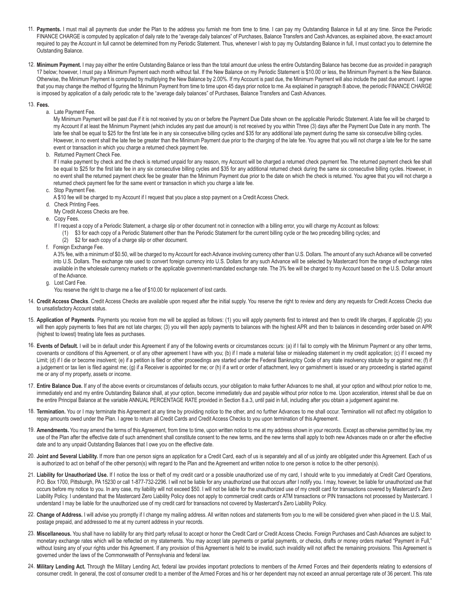- 11. Payments. I must mail all payments due under the Plan to the address you furnish me from time to time. I can pay my Outstanding Balance in full at any time. Since the Periodic FINANCE CHARGE is computed by application of daily rate to the "average daily balances" of Purchases, Balance Transfers and Cash Advances, as explained above, the exact amount required to pay the Account in full cannot be determined from my Periodic Statement. Thus, whenever I wish to pay my Outstanding Balance in full, I must contact you to determine the Outstanding Balance.
- 12. Minimum Payment. I may pay either the entire Outstanding Balance or less than the total amount due unless the entire Outstanding Balance has become due as provided in paragraph 17 below; however, I must pay a Minimum Payment each month without fail. If the New Balance on my Periodic Statement is \$10.00 or less, the Minimum Payment is the New Balance. Otherwise, the Minimum Payment is computed by multiplying the New Balance by 2.00%. If my Account is past due, the Minimum Payment will also include the past due amount. I agree that you may change the method of figuring the Minimum Payment from time to time upon 45 days prior notice to me. As explained in paragraph 8 above, the periodic FINANCE CHARGE is imposed by application of a daily periodic rate to the "average daily balances" of Purchases, Balance Transfers and Cash Advances.
- **Fees.** 13.
	- a. Late Payment Fee.

My Minimum Payment will be past due if it is not received by you on or before the Payment Due Date shown on the applicable Periodic Statement. A late fee will be charged to my Account if at least the Minimum Payment (which includes any past due amount) is not received by you within Three (3) days after the Payment Due Date in any month. The late fee shall be equal to \$25 for the first late fee in any six consecutive billing cycles and \$35 for any additional late payment during the same six consecutive billing cycles. However, in no event shall the late fee be greater than the Minimum Payment due prior to the charging of the late fee. You agree that you will not charge a late fee for the same event or transaction in which you charge a returned check payment fee.

b. Returned Payment Check Fee.

If I make payment by check and the check is returned unpaid for any reason, my Account will be charged a returned check payment fee. The returned payment check fee shall be equal to \$25 for the first late fee in any six consecutive billing cycles and \$35 for any additional returned check during the same six consecutive billing cycles. However, in no event shall the returned payment check fee be greater than the Minimum Payment due prior to the date on which the check is returned. You agree that you will not charge a returned check payment fee for the same event or transaction in which you charge a late fee.

- c. Stop Payment Fee.
- A \$10 fee will be charged to my Account if I request that you place a stop payment on a Credit Access Check.
- d. Check Printing Fees.
- My Credit Access Checks are free.
- e. Copy Fees.
	- If I request a copy of a Periodic Statement, a charge slip or other document not in connection with a billing error, you will charge my Account as follows:
	- (1) \$3 for each copy of a Periodic Statement other than the Periodic Statement for the current billing cycle or the two preceding billing cycles; and
		- (2) \$2 for each copy of a charge slip or other document.
- f. Foreign Exchange Fee.

A 3% fee, with a minimum of \$0.50, will be charged to my Account for each Advance involving currency other than U.S. Dollars. The amount of any such Advance will be converted into U.S. Dollars. The exchange rate used to convert foreign currency into U.S. Dollars for any such Advance will be selected by Mastercard from the range of exchange rates available in the wholesale currency markets or the applicable government-mandated exchange rate. The 3% fee will be charged to my Account based on the U.S. Dollar amount of the Advance.

g. Lost Card Fee.

You reserve the right to charge me a fee of \$10.00 for replacement of lost cards.

- 14. Credit Access Checks. Credit Access Checks are available upon request after the initial supply. You reserve the right to review and deny any requests for Credit Access Checks due to unsatisfactory Account status.
- 15. Application of Payments. Payments you receive from me will be applied as follows: (1) you will apply payments first to interest and then to credit life charges, if applicable (2) you will then apply payments to fees that are not late charges; (3) you will then apply payments to balances with the highest APR and then to balances in descending order based on APR (highest to lowest) treating late fees as purchases.
- 16. Events of Default. I will be in default under this Agreement if any of the following events or circumstances occurs: (a) if I fail to comply with the Minimum Payment or any other terms, covenants or conditions of this Agreement, or of any other agreement I have with you; (b) if I made a material false or misleading statement in my credit application; (c) if I exceed my Limit; (d) if I die or become insolvent; (e) if a petition is filed or other proceedings are started under the Federal Bankruptcy Code of any state insolvency statute by or against me; (f) if a judgement or tax lien is filed against me; (g) if a Receiver is appointed for me; or (h) if a writ or order of attachment, levy or garnishment is issued or any proceeding is started against me or any of my property, assets or income.
- 17. Entire Balance Due. If any of the above events or circumstances of defaults occurs, your obligation to make further Advances to me shall, at your option and without prior notice to me, immediately end and my entire Outstanding Balance shall, at your option, become immediately due and payable without prior notice to me. Upon acceleration, interest shall be due on the entire Principal Balance at the variable ANNUAL PERCENTAGE RATE provided in Section 8.a.3, until paid in full, including after you obtain a judgement against me.
- 18. Termination. You or I may terminate this Agreement at any time by providing notice to the other, and no further Advances to me shall occur. Termination will not affect my obligation to repay amounts owed under the Plan. I agree to return all Credit Cards and Credit Access Checks to you upon termination of this Agreement.
- 19. Amendments. You may amend the terms of this Agreement, from time to time, upon written notice to me at my address shown in your records. Except as otherwise permitted by law, my use of the Plan after the effective date of such amendment shall constitute consent to the new terms, and the new terms shall apply to both new Advances made on or after the effective date and to any unpaid Outstanding Balances that I owe you on the effective date.
- 20. Joint and Several Liability. If more than one person signs an application for a Credit Card, each of us is separately and all of us jointly are obligated under this Agreement. Each of us is authorized to act on behalf of the other person(s) with regard to the Plan and the Agreement and written notice to one person is notice to the other person(s).
- 21. Liability for Unauthorized Use. If I notice the loss or theft of my credit card or a possible unauthorized use of my card, I should write to you immediately at Credit Card Operations, P.O. Box 1700, Pittsburgh, PA 15230 or call 1-877-732-2296. I will not be liable for any unauthorized use that occurs after I notify you. I may, however, be liable for unauthorized use that occurs before my notice to you. In any case, my liability will not exceed \$50. I will not be liable for the unauthorized use of my credit card for transactions covered by Mastercard's Zero Liability Policy. I understand that the Mastercard Zero Liability Policy does not apply to commercial credit cards or ATM transactions or PIN transactions not processed by Mastercard. I understand I may be liable for the unauthorized use of my credit card for transactions not covered by Mastercard's Zero Liability Policy.
- 22. Change of Address. I will advise you promptly if I change my mailing address. All written notices and statements from you to me will be considered given when placed in the U.S. Mail, postage prepaid, and addressed to me at my current address in your records.
- 23. Miscellaneous. You shall have no liability for any third party refusal to accept or honor the Credit Card or Credit Access Checks. Foreign Purchases and Cash Advances are subject to monetary exchange rates which will be reflected on my statements. You may accept late payments or partial payments, or checks, drafts or money orders marked "Payment in Full," without losing any of your rights under this Agreement. If any provision of this Agreement is held to be invalid, such invalidity will not affect the remaining provisions. This Agreement is governed under the laws of the Commonwealth of Pennsylvania and federal law.
- 24. Military Lending Act. Through the Military Lending Act, federal law provides important protections to members of the Armed Forces and their dependents relating to extensions of consumer credit. In general, the cost of consumer credit to a member of the Armed Forces and his or her dependent may not exceed an annual percentage rate of 36 percent. This rate